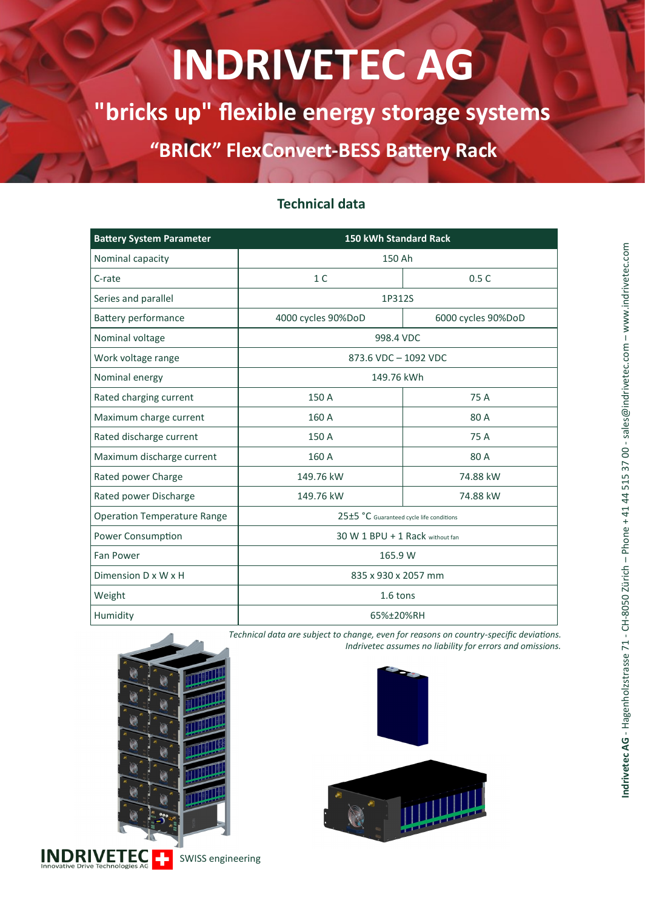# **INDRIVETEC AG**

**"bricks up" flexible energy storage systems**

**"BRICK" FlexConvert-BESS Battery Rack**

| <b>Battery System Parameter</b>    | <b>150 kWh Standard Rack</b>             |                    |
|------------------------------------|------------------------------------------|--------------------|
| Nominal capacity                   | 150 Ah                                   |                    |
| C-rate                             | 1 <sup>C</sup>                           | 0.5C               |
| Series and parallel                | 1P312S                                   |                    |
| Battery performance                | 4000 cycles 90%DoD                       | 6000 cycles 90%DoD |
| Nominal voltage                    | 998.4 VDC                                |                    |
| Work voltage range                 | 873.6 VDC - 1092 VDC                     |                    |
| Nominal energy                     | 149.76 kWh                               |                    |
| Rated charging current             | 150 A                                    | 75 A               |
| Maximum charge current             | 160 A                                    | 80 A               |
| Rated discharge current            | 150 A                                    | 75 A               |
| Maximum discharge current          | 160 A                                    | 80 A               |
| Rated power Charge                 | 149.76 kW                                | 74.88 kW           |
| Rated power Discharge              | 149.76 kW                                | 74.88 kW           |
| <b>Operation Temperature Range</b> | 25±5 °C Guaranteed cycle life conditions |                    |
| Power Consumption                  | 30 W 1 BPU + 1 Rack without fan          |                    |
| Fan Power                          | 165.9 W                                  |                    |
| Dimension D x W x H                | 835 x 930 x 2057 mm                      |                    |
| Weight                             | 1.6 tons                                 |                    |
| Humidity                           | 65%±20%RH                                |                    |

### **Technical data**

*Technical data are subject to change, even for reasons on country-specific deviations. Indrivetec assumes no liability for errors and omissions.*